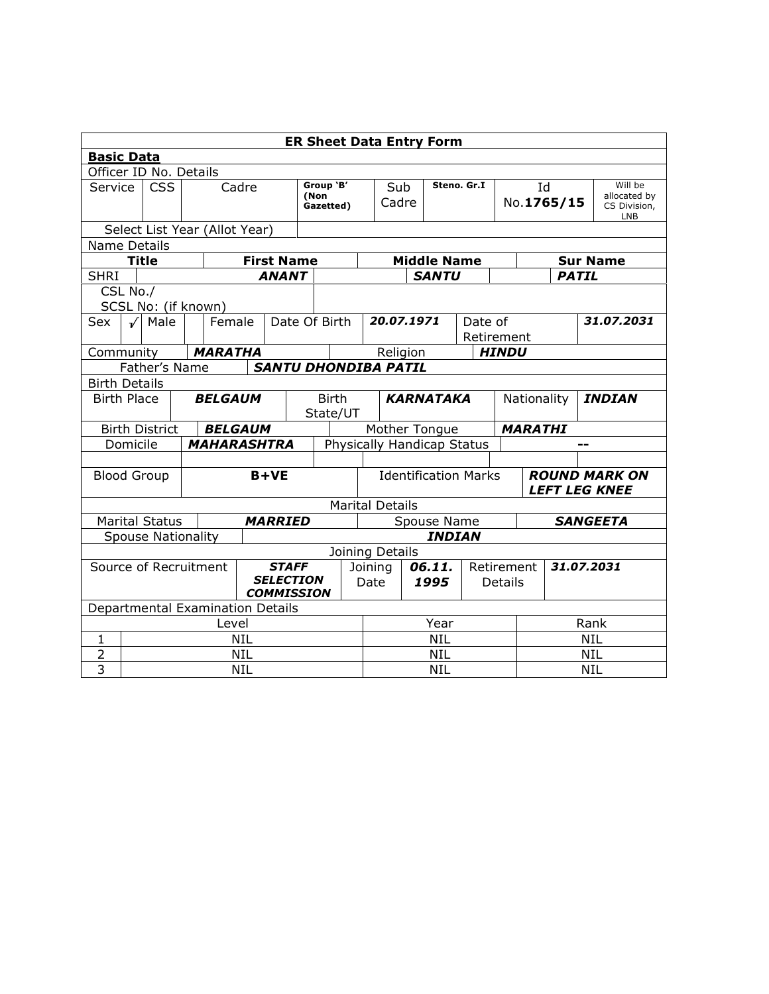| <b>ER Sheet Data Entry Form</b>                                                |            |                                  |       |                    |                         |                |                                |                          |                  |                             |             |               |                                     |                                     |                                 |               |                                                       |                 |
|--------------------------------------------------------------------------------|------------|----------------------------------|-------|--------------------|-------------------------|----------------|--------------------------------|--------------------------|------------------|-----------------------------|-------------|---------------|-------------------------------------|-------------------------------------|---------------------------------|---------------|-------------------------------------------------------|-----------------|
| <b>Basic Data</b>                                                              |            |                                  |       |                    |                         |                |                                |                          |                  |                             |             |               |                                     |                                     |                                 |               |                                                       |                 |
|                                                                                |            | Officer ID No. Details           |       |                    |                         |                |                                |                          |                  |                             |             |               |                                     |                                     |                                 |               |                                                       |                 |
| <b>CSS</b><br>Service                                                          |            |                                  | Cadre |                    |                         |                | Group 'B'<br>(Non<br>Gazetted) |                          | Sub<br>Cadre     |                             | Steno. Gr.I |               |                                     | Id<br>No.1765/15                    |                                 |               | Will be<br>allocated by<br>CS Division,<br><b>LNB</b> |                 |
|                                                                                |            | Select List Year (Allot Year)    |       |                    |                         |                |                                |                          |                  |                             |             |               |                                     |                                     |                                 |               |                                                       |                 |
| Name Details                                                                   |            |                                  |       |                    |                         |                |                                |                          |                  |                             |             |               |                                     |                                     |                                 |               |                                                       |                 |
|                                                                                |            | <b>Title</b>                     |       |                    | <b>First Name</b>       |                |                                |                          |                  | <b>Middle Name</b>          |             |               |                                     |                                     | <b>Sur Name</b><br><b>PATIL</b> |               |                                                       |                 |
| <b>SHRI</b>                                                                    |            |                                  |       |                    |                         | <b>ANANT</b>   |                                |                          |                  |                             |             | <b>SANTU</b>  |                                     |                                     |                                 |               |                                                       |                 |
|                                                                                | CSL No./   |                                  |       |                    |                         |                |                                |                          |                  |                             |             |               |                                     |                                     |                                 |               |                                                       |                 |
|                                                                                |            | SCSL No: (if known)              |       |                    |                         |                |                                |                          |                  | 20.07.1971                  |             |               |                                     |                                     |                                 |               |                                                       |                 |
| Sex                                                                            | √          | Male                             |       |                    | Date Of Birth<br>Female |                |                                |                          |                  |                             |             |               |                                     | 31,07,2031<br>Date of<br>Retirement |                                 |               |                                                       |                 |
| Community                                                                      |            |                                  |       | <b>MARATHA</b>     |                         |                |                                |                          |                  | Religion                    |             |               |                                     | <b>HINDU</b>                        |                                 |               |                                                       |                 |
| Father's Name<br><b>SANTU DHONDIBA PATIL</b>                                   |            |                                  |       |                    |                         |                |                                |                          |                  |                             |             |               |                                     |                                     |                                 |               |                                                       |                 |
| <b>Birth Details</b>                                                           |            |                                  |       |                    |                         |                |                                |                          |                  |                             |             |               |                                     |                                     |                                 |               |                                                       |                 |
| <b>Birth Place</b>                                                             |            |                                  |       |                    | <b>BELGAUM</b>          |                |                                | <b>Birth</b><br>State/UT | <b>KARNATAKA</b> |                             |             |               | Nationality                         |                                     |                                 | <b>INDIAN</b> |                                                       |                 |
| <b>BELGAUM</b><br><b>Birth District</b>                                        |            |                                  |       |                    |                         |                |                                |                          |                  | Mother Tongue               |             |               |                                     |                                     | <b>MARATHI</b>                  |               |                                                       |                 |
|                                                                                | Domicile   |                                  |       | <b>MAHARASHTRA</b> |                         |                |                                |                          |                  | Physically Handicap Status  |             |               |                                     |                                     |                                 |               |                                                       |                 |
|                                                                                |            |                                  |       |                    |                         |                |                                |                          |                  |                             |             |               |                                     |                                     |                                 |               |                                                       |                 |
| <b>Blood Group</b>                                                             |            |                                  |       |                    |                         | $B+VE$         |                                |                          |                  | <b>Identification Marks</b> |             |               |                                     |                                     |                                 |               | <b>ROUND MARK ON</b><br><b>LEFT LEG KNEE</b>          |                 |
|                                                                                |            |                                  |       |                    |                         |                |                                |                          |                  | <b>Marital Details</b>      |             |               |                                     |                                     |                                 |               |                                                       |                 |
|                                                                                |            | <b>Marital Status</b>            |       |                    |                         | <b>MARRIED</b> |                                |                          |                  |                             |             | Spouse Name   |                                     |                                     |                                 |               |                                                       | <b>SANGEETA</b> |
|                                                                                |            | <b>Spouse Nationality</b>        |       |                    |                         |                |                                |                          |                  |                             |             | <b>INDIAN</b> |                                     |                                     |                                 |               |                                                       |                 |
|                                                                                |            |                                  |       |                    |                         |                |                                |                          |                  | Joining Details             |             |               |                                     |                                     |                                 |               |                                                       |                 |
| <b>STAFF</b><br>Source of Recruitment<br><b>SELECTION</b><br><b>COMMISSION</b> |            |                                  |       |                    |                         |                |                                |                          | Joining<br>Date  | 06.11.<br>1995              |             |               | 31.07.2031<br>Retirement<br>Details |                                     |                                 |               |                                                       |                 |
|                                                                                |            | Departmental Examination Details |       |                    |                         |                |                                |                          |                  |                             |             |               |                                     |                                     |                                 |               |                                                       |                 |
|                                                                                | Level      |                                  |       |                    |                         |                |                                |                          |                  | Year                        |             |               |                                     |                                     | Rank                            |               |                                                       |                 |
| $\mathbf{1}$                                                                   |            |                                  |       |                    | <b>NIL</b>              |                |                                |                          |                  | <b>NIL</b>                  |             |               |                                     |                                     | <b>NIL</b>                      |               |                                                       |                 |
| $\overline{2}$                                                                 | <b>NIL</b> |                                  |       |                    |                         |                |                                |                          | <b>NIL</b>       |                             |             |               |                                     |                                     | <b>NIL</b>                      |               |                                                       |                 |
| $\overline{3}$                                                                 | <b>NIL</b> |                                  |       |                    |                         |                |                                |                          | <b>NIL</b>       |                             |             |               |                                     | <b>NIL</b>                          |                                 |               |                                                       |                 |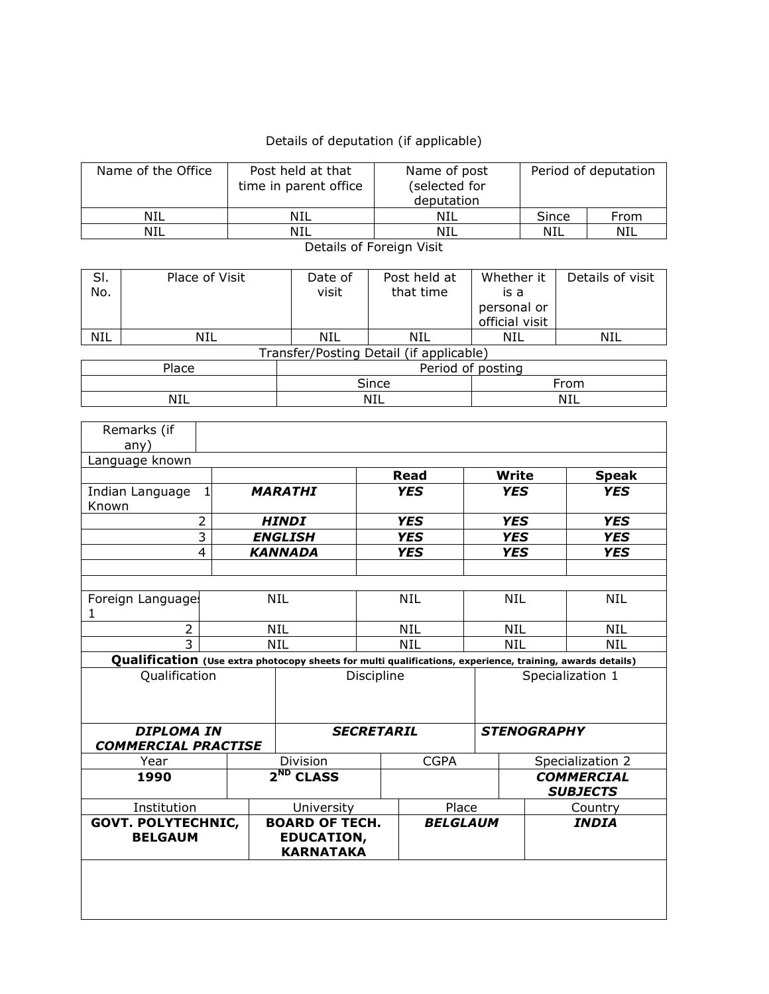## Details of deputation (if applicable)

| Name of the Office                          |                                                 |            | Post held at that<br>time in parent office |                                                                | Name of post<br>(selected for<br>deputation |                     |                                                                                                           | Period of deputation     |            |                                      |                          |  |
|---------------------------------------------|-------------------------------------------------|------------|--------------------------------------------|----------------------------------------------------------------|---------------------------------------------|---------------------|-----------------------------------------------------------------------------------------------------------|--------------------------|------------|--------------------------------------|--------------------------|--|
| <b>NIL</b>                                  |                                                 |            |                                            |                                                                | <b>NIL</b>                                  |                     | <b>NIL</b>                                                                                                |                          | Since      |                                      | From                     |  |
|                                             | <b>NIL</b>                                      |            |                                            |                                                                | <b>NIL</b>                                  |                     | <b>NIL</b>                                                                                                |                          | <b>NIL</b> |                                      | NIL                      |  |
|                                             |                                                 |            |                                            |                                                                | Details of Foreign Visit                    |                     |                                                                                                           |                          |            |                                      |                          |  |
| SI.                                         | Place of Visit                                  |            |                                            |                                                                | Date of                                     |                     | Post held at                                                                                              | Whether it               |            |                                      | Details of visit         |  |
| No.                                         |                                                 |            |                                            | visit                                                          | that time                                   |                     | is a<br>personal or                                                                                       |                          |            |                                      |                          |  |
|                                             |                                                 |            |                                            |                                                                |                                             |                     |                                                                                                           | official visit           |            |                                      |                          |  |
| <b>NIL</b>                                  |                                                 | <b>NIL</b> |                                            |                                                                | <b>NIL</b>                                  |                     | <b>NIL</b>                                                                                                | <b>NIL</b>               |            |                                      | <b>NIL</b>               |  |
|                                             |                                                 |            |                                            |                                                                | Transfer/Posting Detail (if applicable)     |                     |                                                                                                           |                          |            |                                      |                          |  |
|                                             | Place                                           |            |                                            |                                                                |                                             |                     |                                                                                                           | Period of posting        |            |                                      |                          |  |
|                                             | <b>NIL</b>                                      |            |                                            |                                                                |                                             | Since<br><b>NIL</b> |                                                                                                           |                          |            | From<br><b>NIL</b>                   |                          |  |
|                                             |                                                 |            |                                            |                                                                |                                             |                     |                                                                                                           |                          |            |                                      |                          |  |
|                                             | Remarks (if<br>any)                             |            |                                            |                                                                |                                             |                     |                                                                                                           |                          |            |                                      |                          |  |
|                                             | Language known                                  |            |                                            |                                                                |                                             |                     |                                                                                                           |                          |            |                                      |                          |  |
|                                             |                                                 | 1          |                                            |                                                                |                                             |                     | <b>Read</b>                                                                                               | <b>Write</b>             |            | <b>Speak</b>                         |                          |  |
| Known                                       | Indian Language                                 |            | <b>MARATHI</b>                             |                                                                |                                             | <b>YES</b>          | <b>YES</b>                                                                                                |                          |            | <b>YES</b>                           |                          |  |
| 2                                           |                                                 |            |                                            |                                                                | <b>HINDI</b>                                |                     | <b>YES</b>                                                                                                | <b>YES</b>               |            |                                      | <b>YES</b>               |  |
| 3<br>4                                      |                                                 |            |                                            |                                                                | <b>ENGLISH</b><br><b>KANNADA</b>            |                     | <b>YES</b><br><b>YES</b>                                                                                  | <b>YES</b><br><b>YES</b> |            |                                      | <b>YES</b><br><b>YES</b> |  |
|                                             |                                                 |            |                                            |                                                                |                                             |                     |                                                                                                           |                          |            |                                      |                          |  |
|                                             | Foreign Languages                               |            | <b>NIL</b>                                 |                                                                |                                             | <b>NIL</b>          | <b>NIL</b>                                                                                                |                          |            | <b>NIL</b>                           |                          |  |
| 1                                           |                                                 |            |                                            | NIL                                                            |                                             |                     |                                                                                                           |                          |            |                                      |                          |  |
|                                             | $\overline{2}$                                  |            |                                            |                                                                |                                             |                     | NIL                                                                                                       | <b>NIL</b>               |            |                                      | NIL                      |  |
|                                             | 3                                               |            | <b>NIL</b>                                 |                                                                |                                             | <b>NIL</b>          | <b>NIL</b>                                                                                                |                          |            | <b>NIL</b>                           |                          |  |
|                                             | Qualification                                   |            |                                            |                                                                |                                             |                     | Qualification (Use extra photocopy sheets for multi qualifications, experience, training, awards details) |                          |            |                                      |                          |  |
|                                             |                                                 |            |                                            | Discipline                                                     |                                             |                     |                                                                                                           | Specialization 1         |            |                                      |                          |  |
|                                             | <b>DIPLOMA IN</b><br><b>COMMERCIAL PRACTISE</b> |            | <b>SECRETARIL</b>                          |                                                                |                                             |                     | <b>STENOGRAPHY</b>                                                                                        |                          |            |                                      |                          |  |
| Year                                        |                                                 |            |                                            | Division                                                       |                                             |                     | <b>CGPA</b>                                                                                               |                          |            | Specialization 2                     |                          |  |
| 1990                                        |                                                 |            |                                            | $2^{ND}$ CLASS                                                 |                                             |                     |                                                                                                           |                          |            | <b>COMMERCIAL</b><br><b>SUBJECTS</b> |                          |  |
| Institution                                 |                                                 |            |                                            |                                                                | University                                  |                     | Place                                                                                                     |                          |            |                                      | Country                  |  |
| <b>GOVT. POLYTECHNIC,</b><br><b>BELGAUM</b> |                                                 |            |                                            | <b>BOARD OF TECH.</b><br><b>EDUCATION,</b><br><b>KARNATAKA</b> |                                             |                     | <b>BELGLAUM</b>                                                                                           |                          |            |                                      | <b>INDIA</b>             |  |
|                                             |                                                 |            |                                            |                                                                |                                             |                     |                                                                                                           |                          |            |                                      |                          |  |